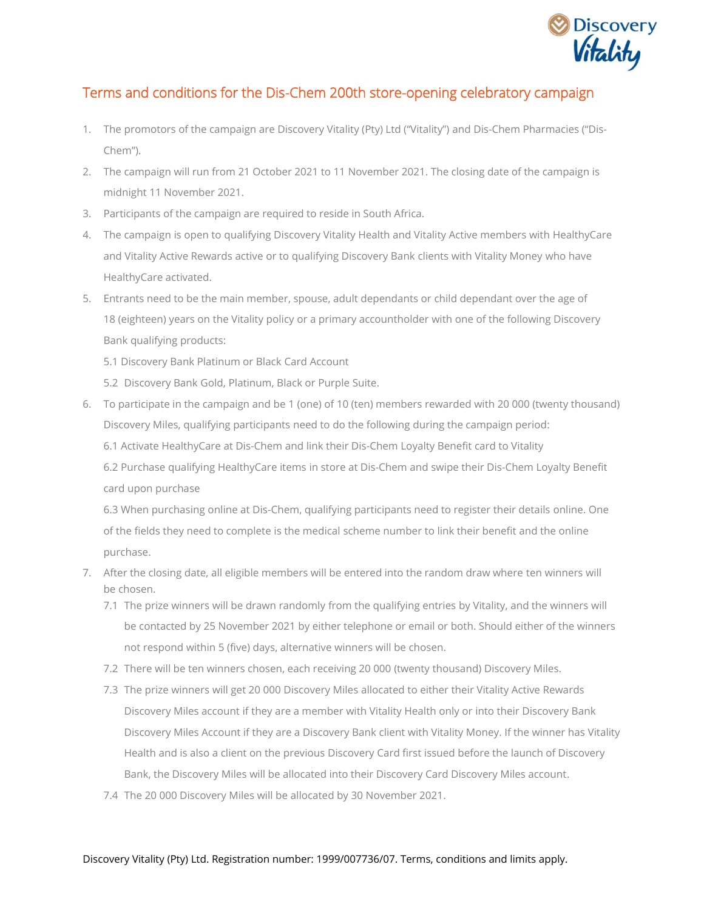

## Terms and conditions for the Dis-Chem 200th store-opening celebratory campaign

- 1. The promotors of the campaign are Discovery Vitality (Pty) Ltd ("Vitality") and Dis-Chem Pharmacies ("Dis-Chem").
- 2. The campaign will run from 21 October 2021 to 11 November 2021. The closing date of the campaign is midnight 11 November 2021.
- 3. Participants of the campaign are required to reside in South Africa.
- 4. The campaign is open to qualifying Discovery Vitality Health and Vitality Active members with HealthyCare and Vitality Active Rewards active or to qualifying Discovery Bank clients with Vitality Money who have HealthyCare activated.
- 5. Entrants need to be the main member, spouse, adult dependants or child dependant over the age of 18 (eighteen) years on the Vitality policy or a primary accountholder with one of the following Discovery Bank qualifying products:
	- 5.1 Discovery Bank Platinum or Black Card Account
	- 5.2 Discovery Bank Gold, Platinum, Black or Purple Suite.
- 6. To participate in the campaign and be 1 (one) of 10 (ten) members rewarded with 20 000 (twenty thousand) Discovery Miles, qualifying participants need to do the following during the campaign period:
	- 6.1 Activate HealthyCare at Dis-Chem and link their Dis-Chem Loyalty Benefit card to Vitality
	- 6.2 Purchase [qualifying HealthyCare items](https://www.discovery.co.za/discovery_coza/web/linked_content/pdfs/vitality/dischem_healthycare_catalogue.pdf) in store at Dis-Chem and swipe their Dis-Chem Loyalty Benefit card upon purchase

6.3 When purchasing online at Dis-Chem, qualifying participants need to register their details online. One of the fields they need to complete is the medical scheme number to link their benefit and the online purchase.

- 7. After the closing date, all eligible members will be entered into the random draw where ten winners will be chosen.
	- 7.1 The prize winners will be drawn randomly from the qualifying entries by Vitality, and the winners will be contacted by 25 November 2021 by either telephone or email or both. Should either of the winners not respond within 5 (five) days, alternative winners will be chosen.
	- 7.2 There will be ten winners chosen, each receiving 20 000 (twenty thousand) Discovery Miles.
	- 7.3 The prize winners will get 20 000 Discovery Miles allocated to either their Vitality Active Rewards Discovery Miles account if they are a member with Vitality Health only or into their Discovery Bank Discovery Miles Account if they are a Discovery Bank client with Vitality Money. If the winner has Vitality Health and is also a client on the previous Discovery Card first issued before the launch of Discovery Bank, the Discovery Miles will be allocated into their Discovery Card Discovery Miles account.
	- 7.4 The 20 000 Discovery Miles will be allocated by 30 November 2021.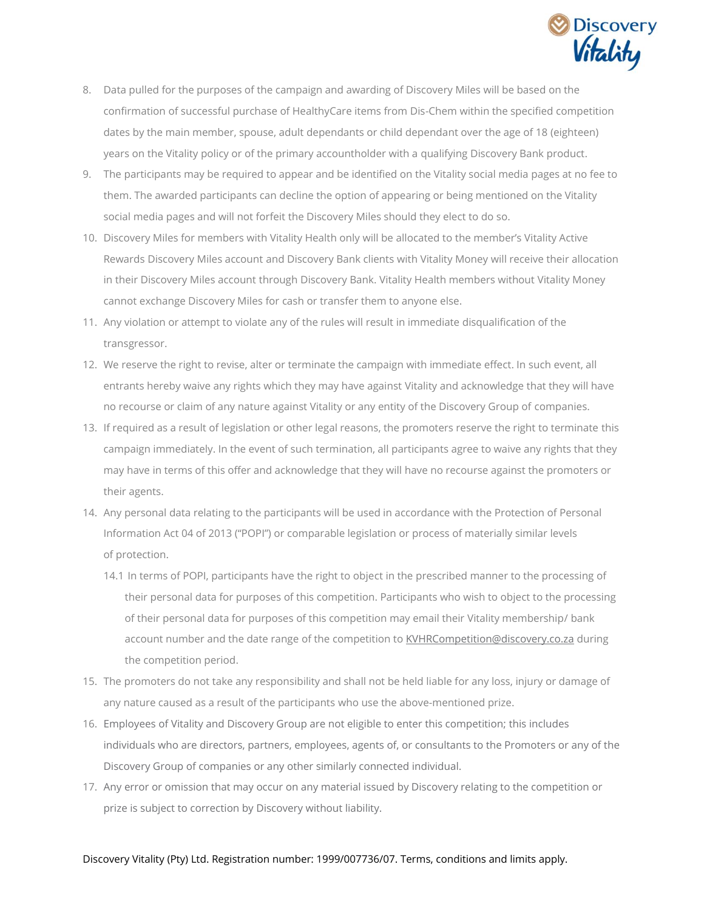

- 8. Data pulled for the purposes of the campaign and awarding of Discovery Miles will be based on the confirmation of successful purchase of HealthyCare items from Dis-Chem within the specified competition dates by the main member, spouse, adult dependants or child dependant over the age of 18 (eighteen) years on the Vitality policy or of the primary accountholder with a qualifying Discovery Bank product.
- 9. The participants may be required to appear and be identified on the Vitality social media pages at no fee to them. The awarded participants can decline the option of appearing or being mentioned on the Vitality social media pages and will not forfeit the Discovery Miles should they elect to do so.
- 10. Discovery Miles for members with Vitality Health only will be allocated to the member's Vitality Active Rewards Discovery Miles account and Discovery Bank clients with Vitality Money will receive their allocation in their Discovery Miles account through Discovery Bank. Vitality Health members without Vitality Money cannot exchange Discovery Miles for cash or transfer them to anyone else.
- 11. Any violation or attempt to violate any of the rules will result in immediate disqualification of the transgressor.
- 12. We reserve the right to revise, alter or terminate the campaign with immediate effect. In such event, all entrants hereby waive any rights which they may have against Vitality and acknowledge that they will have no recourse or claim of any nature against Vitality or any entity of the Discovery Group of companies.
- 13. If required as a result of legislation or other legal reasons, the promoters reserve the right to terminate this campaign immediately. In the event of such termination, all participants agree to waive any rights that they may have in terms of this offer and acknowledge that they will have no recourse against the promoters or their agents.
- 14. Any personal data relating to the participants will be used in accordance with the Protection of Personal Information Act 04 of 2013 ("POPI") or comparable legislation or process of materially similar levels of protection.
	- 14.1 In terms of POPI, participants have the right to object in the prescribed manner to the processing of their personal data for purposes of this competition. Participants who wish to object to the processing of their personal data for purposes of this competition may email their Vitality membership/ bank account number and the date range of the competition to [KVHRCompetition@discovery.co.za](mailto:KVHRCompetition@discovery.co.za) during the competition period.
- 15. The promoters do not take any responsibility and shall not be held liable for any loss, injury or damage of any nature caused as a result of the participants who use the above-mentioned prize.
- 16. Employees of Vitality and Discovery Group are not eligible to enter this competition; this includes individuals who are directors, partners, employees, agents of, or consultants to the Promoters or any of the Discovery Group of companies or any other similarly connected individual.
- 17. Any error or omission that may occur on any material issued by Discovery relating to the competition or prize is subject to correction by Discovery without liability.